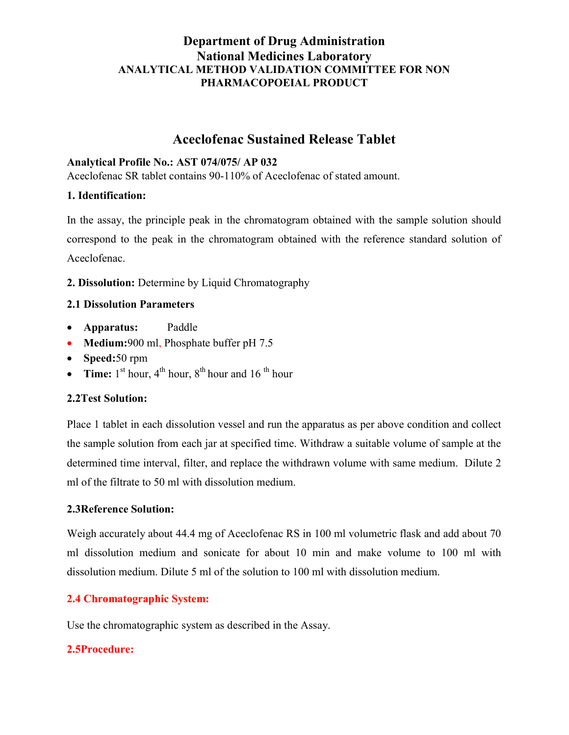# Department of Drug Administration National Medicines Laboratory ANALYTICAL METHOD VALIDATION COMMITTEE FOR NON PHARMACOPOEIAL PRODUCT

# Aceclofenac Sustained Release Tablet

#### Analytical Profile No.: AST 074/075/ AP 032

Aceclofenac SR tablet contains 90-110% of Aceclofenac of stated amount.

#### 1. Identification:

In the assay, the principle peak in the chromatogram obtained with the sample solution should correspond to the peak in the chromatogram obtained with the reference standard solution of Aceclofenac.

## 2. Dissolution: Determine by Liquid Chromatography

## 2.1 Dissolution Parameters

- Apparatus: Paddle
- Medium:900 ml, Phosphate buffer pH 7.5
- Speed:50 rpm
- Time:  $1<sup>st</sup>$  hour,  $4<sup>th</sup>$  hour,  $8<sup>th</sup>$  hour and  $16<sup>th</sup>$  hour

## 2.2Test Solution:

Place 1 tablet in each dissolution vessel and run the apparatus as per above condition and collect the sample solution from each jar at specified time. Withdraw a suitable volume of sample at the determined time interval, filter, and replace the withdrawn volume with same medium. Dilute 2 ml of the filtrate to 50 ml with dissolution medium.

#### 2.3Reference Solution:

Weigh accurately about 44.4 mg of Aceclofenac RS in 100 ml volumetric flask and add about 70 ml dissolution medium and sonicate for about 10 min and make volume to 100 ml with dissolution medium. Dilute 5 ml of the solution to 100 ml with dissolution medium.

## 2.4 Chromatographic System:

Use the chromatographic system as described in the Assay.

## 2.5Procedure: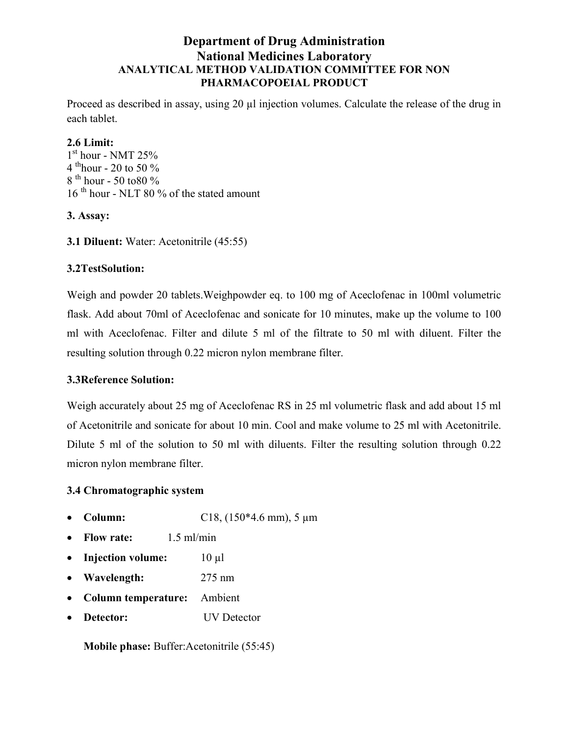# Department of Drug Administration National Medicines Laboratory ANALYTICAL METHOD VALIDATION COMMITTEE FOR NON PHARMACOPOEIAL PRODUCT

Proceed as described in assay, using 20 µl injection volumes. Calculate the release of the drug in each tablet.

#### 2.6 Limit:

 $1^{\rm st}$  hour - NMT 25% 4 th<sub>hour</sub> - 20 to 50  $\%$  $8^{th}$  hour - 50 to 80 % 16<sup>th</sup> hour - NLT 80 % of the stated amount

## 3. Assay:

3.1 Diluent: Water: Acetonitrile (45:55)

## 3.2TestSolution:

Weigh and powder 20 tablets.Weighpowder eq. to 100 mg of Aceclofenac in 100ml volumetric flask. Add about 70ml of Aceclofenac and sonicate for 10 minutes, make up the volume to 100 ml with Aceclofenac. Filter and dilute 5 ml of the filtrate to 50 ml with diluent. Filter the resulting solution through 0.22 micron nylon membrane filter.

## 3.3Reference Solution:

Weigh accurately about 25 mg of Aceclofenac RS in 25 ml volumetric flask and add about 15 ml of Acetonitrile and sonicate for about 10 min. Cool and make volume to 25 ml with Acetonitrile. Dilute 5 ml of the solution to 50 ml with diluents. Filter the resulting solution through 0.22 micron nylon membrane filter.

## 3.4 Chromatographic system

- Column:  $C18, (150*4.6 \text{ mm}), 5 \mu m$
- Flow rate:  $1.5 \text{ ml/min}$
- Injection volume:  $10 \mu l$
- Wavelength: 275 nm
- Column temperature: Ambient
- Detector: UV Detector

Mobile phase: Buffer:Acetonitrile (55:45)